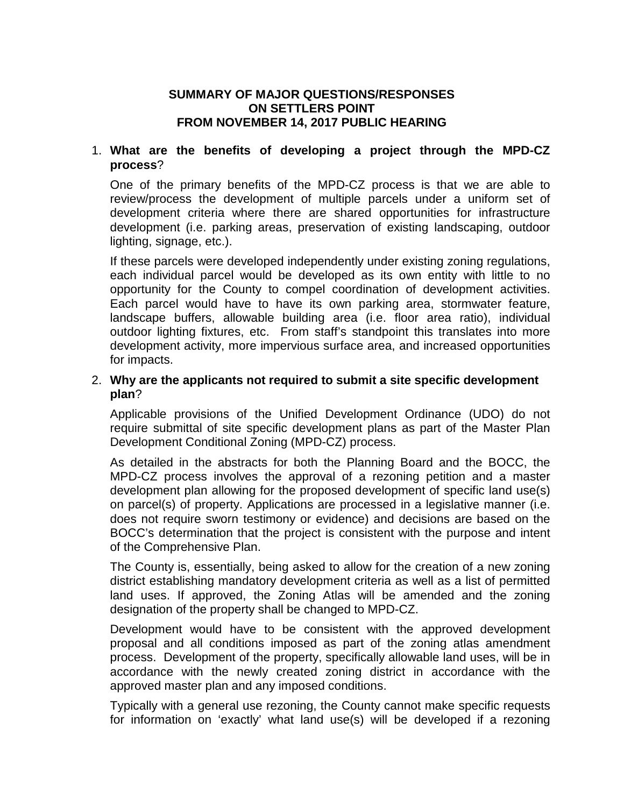# **SUMMARY OF MAJOR QUESTIONS/RESPONSES ON SETTLERS POINT FROM NOVEMBER 14, 2017 PUBLIC HEARING**

## 1. **What are the benefits of developing a project through the MPD-CZ process**?

One of the primary benefits of the MPD-CZ process is that we are able to review/process the development of multiple parcels under a uniform set of development criteria where there are shared opportunities for infrastructure development (i.e. parking areas, preservation of existing landscaping, outdoor lighting, signage, etc.).

If these parcels were developed independently under existing zoning regulations, each individual parcel would be developed as its own entity with little to no opportunity for the County to compel coordination of development activities. Each parcel would have to have its own parking area, stormwater feature, landscape buffers, allowable building area (i.e. floor area ratio), individual outdoor lighting fixtures, etc. From staff's standpoint this translates into more development activity, more impervious surface area, and increased opportunities for impacts.

## 2. **Why are the applicants not required to submit a site specific development plan**?

Applicable provisions of the Unified Development Ordinance (UDO) do not require submittal of site specific development plans as part of the Master Plan Development Conditional Zoning (MPD-CZ) process.

As detailed in the abstracts for both the Planning Board and the BOCC, the MPD-CZ process involves the approval of a rezoning petition and a master development plan allowing for the proposed development of specific land use(s) on parcel(s) of property. Applications are processed in a legislative manner (i.e. does not require sworn testimony or evidence) and decisions are based on the BOCC's determination that the project is consistent with the purpose and intent of the Comprehensive Plan.

The County is, essentially, being asked to allow for the creation of a new zoning district establishing mandatory development criteria as well as a list of permitted land uses. If approved, the Zoning Atlas will be amended and the zoning designation of the property shall be changed to MPD-CZ.

Development would have to be consistent with the approved development proposal and all conditions imposed as part of the zoning atlas amendment process. Development of the property, specifically allowable land uses, will be in accordance with the newly created zoning district in accordance with the approved master plan and any imposed conditions.

Typically with a general use rezoning, the County cannot make specific requests for information on 'exactly' what land use(s) will be developed if a rezoning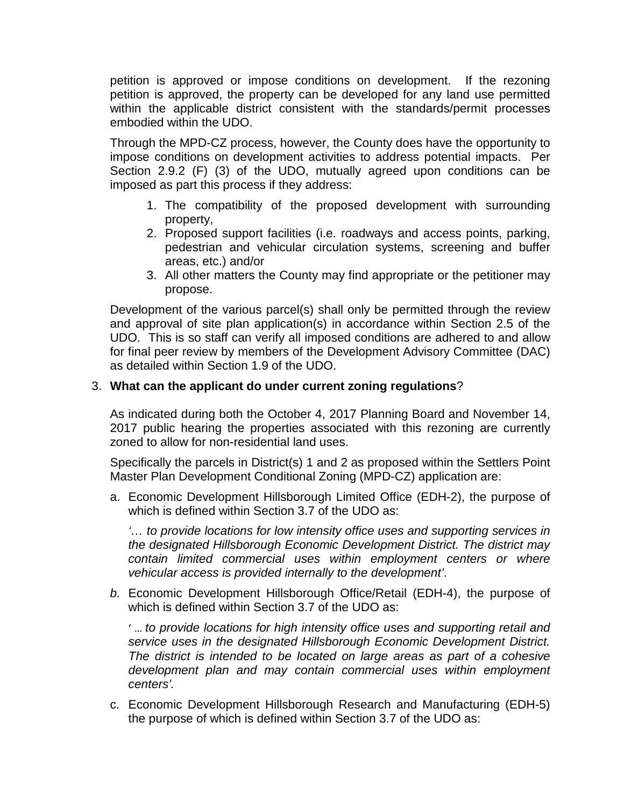petition is approved or impose conditions on development. If the rezoning petition is approved, the property can be developed for any land use permitted within the applicable district consistent with the standards/permit processes embodied within the UDO.

Through the MPD-CZ process, however, the County does have the opportunity to impose conditions on development activities to address potential impacts. Per Section 2.9.2 (F) (3) of the UDO, mutually agreed upon conditions can be imposed as part this process if they address:

- 1. The compatibility of the proposed development with surrounding property,
- 2. Proposed support facilities (i.e. roadways and access points, parking, pedestrian and vehicular circulation systems, screening and buffer areas, etc.) and/or
- 3. All other matters the County may find appropriate or the petitioner may propose.

Development of the various parcel(s) shall only be permitted through the review and approval of site plan application(s) in accordance within Section 2.5 of the UDO. This is so staff can verify all imposed conditions are adhered to and allow for final peer review by members of the Development Advisory Committee (DAC) as detailed within Section 1.9 of the UDO.

## 3. **What can the applicant do under current zoning regulations**?

As indicated during both the October 4, 2017 Planning Board and November 14, 2017 public hearing the properties associated with this rezoning are currently zoned to allow for non-residential land uses.

Specifically the parcels in District(s) 1 and 2 as proposed within the Settlers Point Master Plan Development Conditional Zoning (MPD-CZ) application are:

a. Economic Development Hillsborough Limited Office (EDH-2), the purpose of which is defined within Section 3.7 of the UDO as:

*'… to provide locations for low intensity office uses and supporting services in the designated Hillsborough Economic Development District. The district may contain limited commercial uses within employment centers or where vehicular access is provided internally to the development'*.

*b.* Economic Development Hillsborough Office/Retail (EDH-4), the purpose of which is defined within Section 3.7 of the UDO as:

' … *to provide locations for high intensity office uses and supporting retail and service uses in the designated Hillsborough Economic Development District. The district is intended to be located on large areas as part of a cohesive development plan and may contain commercial uses within employment centers'.*

c. Economic Development Hillsborough Research and Manufacturing (EDH-5) the purpose of which is defined within Section 3.7 of the UDO as: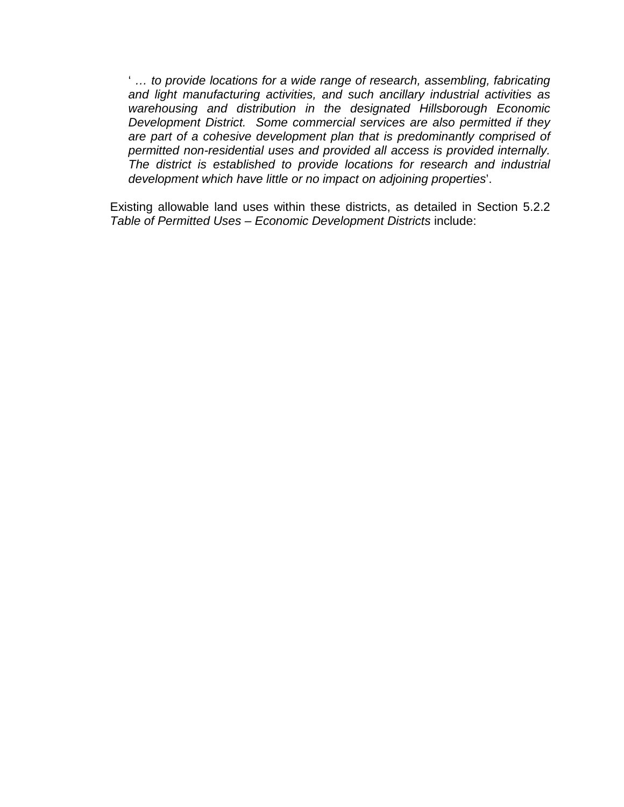' *… to provide locations for a wide range of research, assembling, fabricating and light manufacturing activities, and such ancillary industrial activities as warehousing and distribution in the designated Hillsborough Economic Development District. Some commercial services are also permitted if they are part of a cohesive development plan that is predominantly comprised of permitted non-residential uses and provided all access is provided internally. The district is established to provide locations for research and industrial development which have little or no impact on adjoining properties*'.

Existing allowable land uses within these districts, as detailed in Section 5.2.2 *Table of Permitted Uses – Economic Development Districts* include: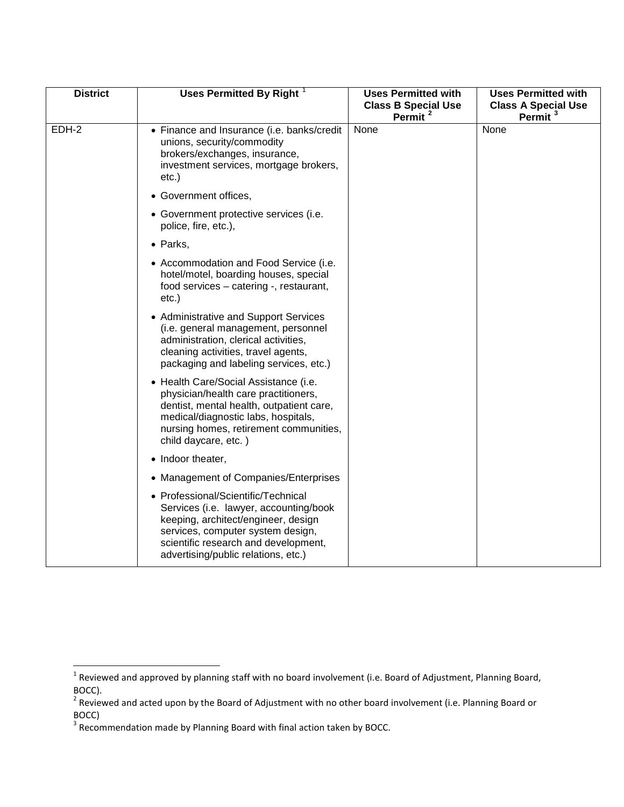| <b>District</b> | Uses Permitted By Right <sup>1</sup>                                                                                                                                                                                                     | <b>Uses Permitted with</b><br><b>Class B Special Use</b><br>Permit <sup>2</sup> | <b>Uses Permitted with</b><br><b>Class A Special Use</b><br>Permit <sup>3</sup> |
|-----------------|------------------------------------------------------------------------------------------------------------------------------------------------------------------------------------------------------------------------------------------|---------------------------------------------------------------------------------|---------------------------------------------------------------------------------|
| EDH-2           | • Finance and Insurance (i.e. banks/credit<br>unions, security/commodity<br>brokers/exchanges, insurance,<br>investment services, mortgage brokers,<br>$etc.$ )                                                                          | None                                                                            | None                                                                            |
|                 | • Government offices,                                                                                                                                                                                                                    |                                                                                 |                                                                                 |
|                 | • Government protective services (i.e.<br>police, fire, etc.),                                                                                                                                                                           |                                                                                 |                                                                                 |
|                 | • Parks,                                                                                                                                                                                                                                 |                                                                                 |                                                                                 |
|                 | • Accommodation and Food Service (i.e.<br>hotel/motel, boarding houses, special<br>food services - catering -, restaurant,<br>$etc.$ )                                                                                                   |                                                                                 |                                                                                 |
|                 | • Administrative and Support Services<br>(i.e. general management, personnel<br>administration, clerical activities,<br>cleaning activities, travel agents,<br>packaging and labeling services, etc.)                                    |                                                                                 |                                                                                 |
|                 | • Health Care/Social Assistance (i.e.<br>physician/health care practitioners,<br>dentist, mental health, outpatient care,<br>medical/diagnostic labs, hospitals,<br>nursing homes, retirement communities,<br>child daycare, etc.)       |                                                                                 |                                                                                 |
|                 | • Indoor theater,                                                                                                                                                                                                                        |                                                                                 |                                                                                 |
|                 | • Management of Companies/Enterprises                                                                                                                                                                                                    |                                                                                 |                                                                                 |
|                 | • Professional/Scientific/Technical<br>Services (i.e. lawyer, accounting/book<br>keeping, architect/engineer, design<br>services, computer system design,<br>scientific research and development,<br>advertising/public relations, etc.) |                                                                                 |                                                                                 |

<span id="page-3-0"></span> $1$  Reviewed and approved by planning staff with no board involvement (i.e. Board of Adjustment, Planning Board, BOCC).

<span id="page-3-1"></span><sup>&</sup>lt;sup>2</sup> Reviewed and acted upon by the Board of Adjustment with no other board involvement (i.e. Planning Board or BOCC)<br><sup>3</sup> Recommendation made by Planning Board with final action taken by BOCC.

<span id="page-3-2"></span>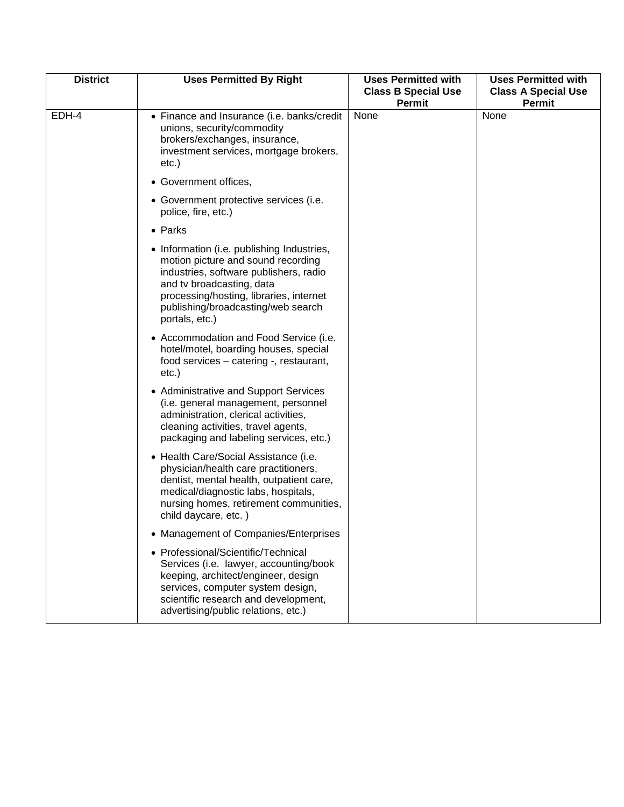| <b>District</b> | <b>Uses Permitted By Right</b>                                                                                                                                                                                                                             | <b>Uses Permitted with</b><br><b>Class B Special Use</b><br><b>Permit</b> | <b>Uses Permitted with</b><br><b>Class A Special Use</b><br><b>Permit</b> |
|-----------------|------------------------------------------------------------------------------------------------------------------------------------------------------------------------------------------------------------------------------------------------------------|---------------------------------------------------------------------------|---------------------------------------------------------------------------|
| EDH-4           | • Finance and Insurance (i.e. banks/credit<br>unions, security/commodity<br>brokers/exchanges, insurance,<br>investment services, mortgage brokers,<br>$etc.$ )                                                                                            | None                                                                      | None                                                                      |
|                 | • Government offices,                                                                                                                                                                                                                                      |                                                                           |                                                                           |
|                 | • Government protective services (i.e.<br>police, fire, etc.)                                                                                                                                                                                              |                                                                           |                                                                           |
|                 | • Parks                                                                                                                                                                                                                                                    |                                                                           |                                                                           |
|                 | • Information (i.e. publishing Industries,<br>motion picture and sound recording<br>industries, software publishers, radio<br>and tv broadcasting, data<br>processing/hosting, libraries, internet<br>publishing/broadcasting/web search<br>portals, etc.) |                                                                           |                                                                           |
|                 | • Accommodation and Food Service (i.e.<br>hotel/motel, boarding houses, special<br>food services - catering -, restaurant,<br>$etc.$ )                                                                                                                     |                                                                           |                                                                           |
|                 | • Administrative and Support Services<br>(i.e. general management, personnel<br>administration, clerical activities,<br>cleaning activities, travel agents,<br>packaging and labeling services, etc.)                                                      |                                                                           |                                                                           |
|                 | • Health Care/Social Assistance (i.e.<br>physician/health care practitioners,<br>dentist, mental health, outpatient care,<br>medical/diagnostic labs, hospitals,<br>nursing homes, retirement communities,<br>child daycare, etc.)                         |                                                                           |                                                                           |
|                 | • Management of Companies/Enterprises                                                                                                                                                                                                                      |                                                                           |                                                                           |
|                 | • Professional/Scientific/Technical<br>Services (i.e. lawyer, accounting/book<br>keeping, architect/engineer, design<br>services, computer system design,<br>scientific research and development,<br>advertising/public relations, etc.)                   |                                                                           |                                                                           |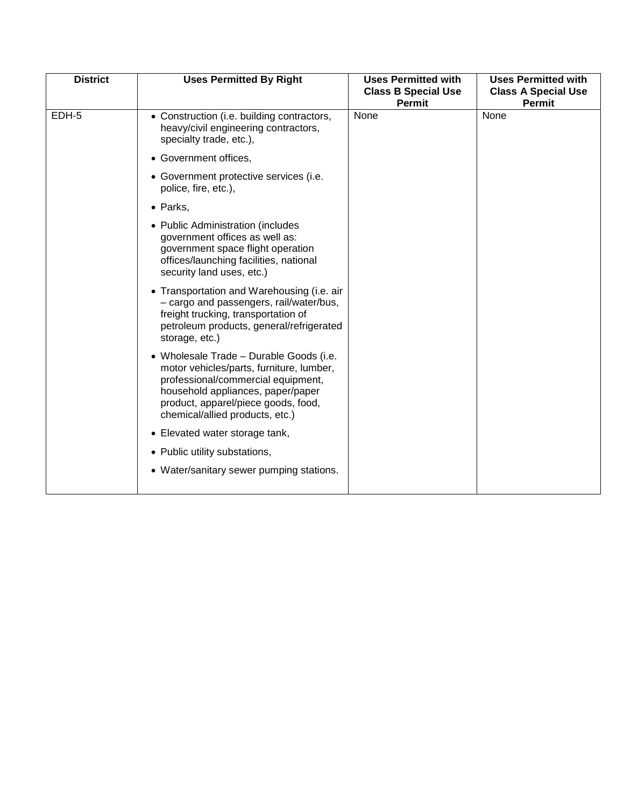| <b>District</b> | <b>Uses Permitted By Right</b>                                                                                                                                                                                                           | <b>Uses Permitted with</b><br><b>Class B Special Use</b><br><b>Permit</b> | <b>Uses Permitted with</b><br><b>Class A Special Use</b><br><b>Permit</b> |
|-----------------|------------------------------------------------------------------------------------------------------------------------------------------------------------------------------------------------------------------------------------------|---------------------------------------------------------------------------|---------------------------------------------------------------------------|
| EDH-5           | • Construction (i.e. building contractors,<br>heavy/civil engineering contractors,<br>specialty trade, etc.),                                                                                                                            | None                                                                      | None                                                                      |
|                 | • Government offices,                                                                                                                                                                                                                    |                                                                           |                                                                           |
|                 | • Government protective services (i.e.<br>police, fire, etc.),                                                                                                                                                                           |                                                                           |                                                                           |
|                 | • Parks,                                                                                                                                                                                                                                 |                                                                           |                                                                           |
|                 | • Public Administration (includes<br>government offices as well as:<br>government space flight operation<br>offices/launching facilities, national<br>security land uses, etc.)                                                          |                                                                           |                                                                           |
|                 | • Transportation and Warehousing (i.e. air<br>- cargo and passengers, rail/water/bus,<br>freight trucking, transportation of<br>petroleum products, general/refrigerated<br>storage, etc.)                                               |                                                                           |                                                                           |
|                 | • Wholesale Trade - Durable Goods (i.e.<br>motor vehicles/parts, furniture, lumber,<br>professional/commercial equipment,<br>household appliances, paper/paper<br>product, apparel/piece goods, food,<br>chemical/allied products, etc.) |                                                                           |                                                                           |
|                 | • Elevated water storage tank,                                                                                                                                                                                                           |                                                                           |                                                                           |
|                 | • Public utility substations,                                                                                                                                                                                                            |                                                                           |                                                                           |
|                 | • Water/sanitary sewer pumping stations.                                                                                                                                                                                                 |                                                                           |                                                                           |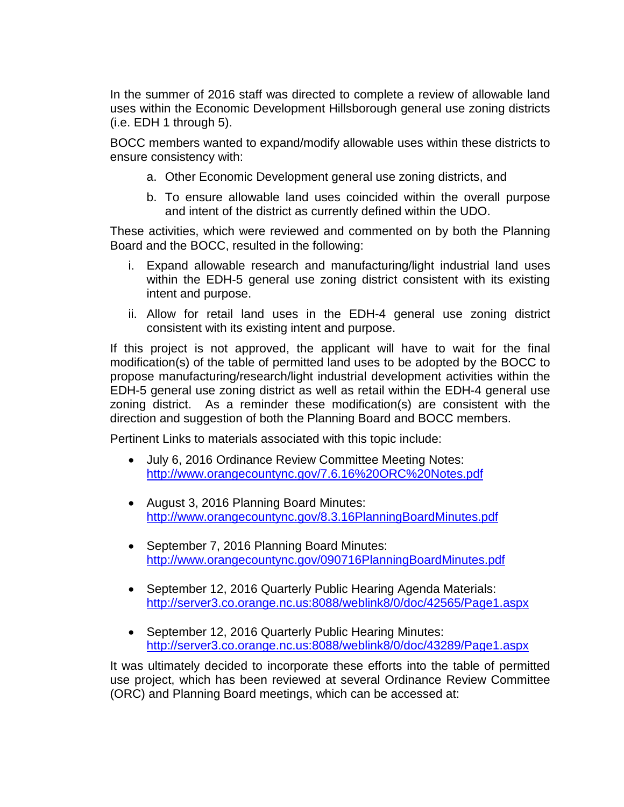In the summer of 2016 staff was directed to complete a review of allowable land uses within the Economic Development Hillsborough general use zoning districts (i.e. EDH 1 through 5).

BOCC members wanted to expand/modify allowable uses within these districts to ensure consistency with:

- a. Other Economic Development general use zoning districts, and
- b. To ensure allowable land uses coincided within the overall purpose and intent of the district as currently defined within the UDO.

These activities, which were reviewed and commented on by both the Planning Board and the BOCC, resulted in the following:

- i. Expand allowable research and manufacturing/light industrial land uses within the EDH-5 general use zoning district consistent with its existing intent and purpose.
- ii. Allow for retail land uses in the EDH-4 general use zoning district consistent with its existing intent and purpose.

If this project is not approved, the applicant will have to wait for the final modification(s) of the table of permitted land uses to be adopted by the BOCC to propose manufacturing/research/light industrial development activities within the EDH-5 general use zoning district as well as retail within the EDH-4 general use zoning district. As a reminder these modification(s) are consistent with the direction and suggestion of both the Planning Board and BOCC members.

Pertinent Links to materials associated with this topic include:

- July 6, 2016 Ordinance Review Committee Meeting Notes: <http://www.orangecountync.gov/7.6.16%20ORC%20Notes.pdf>
- August 3, 2016 Planning Board Minutes: <http://www.orangecountync.gov/8.3.16PlanningBoardMinutes.pdf>
- September 7, 2016 Planning Board Minutes: <http://www.orangecountync.gov/090716PlanningBoardMinutes.pdf>
- September 12, 2016 Quarterly Public Hearing Agenda Materials: <http://server3.co.orange.nc.us:8088/weblink8/0/doc/42565/Page1.aspx>
- September 12, 2016 Quarterly Public Hearing Minutes: <http://server3.co.orange.nc.us:8088/weblink8/0/doc/43289/Page1.aspx>

It was ultimately decided to incorporate these efforts into the table of permitted use project, which has been reviewed at several Ordinance Review Committee (ORC) and Planning Board meetings, which can be accessed at: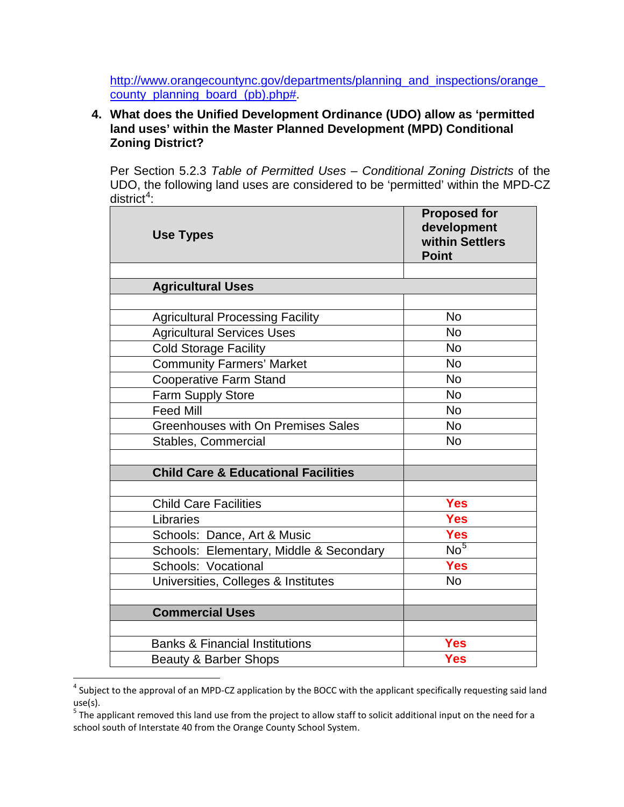[http://www.orangecountync.gov/departments/planning\\_and\\_inspections/orange\\_](http://www.orangecountync.gov/departments/planning_and_inspections/orange_county_planning_board_(pb).php) [county\\_planning\\_board\\_\(pb\).php#.](http://www.orangecountync.gov/departments/planning_and_inspections/orange_county_planning_board_(pb).php)

# **4. What does the Unified Development Ordinance (UDO) allow as 'permitted land uses' within the Master Planned Development (MPD) Conditional Zoning District?**

Per Section 5.2.3 *Table of Permitted Uses – Conditional Zoning Districts* of the UDO, the following land uses are considered to be 'permitted' within the MPD-CZ district<sup>[4](#page-7-0)</sup>:

| <b>Use Types</b>                               | <b>Proposed for</b><br>development<br>within Settlers<br><b>Point</b> |
|------------------------------------------------|-----------------------------------------------------------------------|
|                                                |                                                                       |
| <b>Agricultural Uses</b>                       |                                                                       |
|                                                |                                                                       |
| <b>Agricultural Processing Facility</b>        | <b>No</b>                                                             |
| <b>Agricultural Services Uses</b>              | <b>No</b>                                                             |
| <b>Cold Storage Facility</b>                   | <b>No</b>                                                             |
| <b>Community Farmers' Market</b>               | <b>No</b>                                                             |
| <b>Cooperative Farm Stand</b>                  | <b>No</b>                                                             |
| Farm Supply Store                              | <b>No</b>                                                             |
| <b>Feed Mill</b>                               | <b>No</b>                                                             |
| <b>Greenhouses with On Premises Sales</b>      | <b>No</b>                                                             |
| Stables, Commercial                            | <b>No</b>                                                             |
|                                                |                                                                       |
| <b>Child Care &amp; Educational Facilities</b> |                                                                       |
|                                                |                                                                       |
| <b>Child Care Facilities</b>                   | <b>Yes</b>                                                            |
| Libraries                                      | <b>Yes</b>                                                            |
| Schools: Dance, Art & Music                    | <b>Yes</b>                                                            |
| Schools: Elementary, Middle & Secondary        | N <sub>0</sub>                                                        |
| Schools: Vocational                            | <b>Yes</b>                                                            |
| Universities, Colleges & Institutes            | <b>No</b>                                                             |
|                                                |                                                                       |
| <b>Commercial Uses</b>                         |                                                                       |
|                                                |                                                                       |
| <b>Banks &amp; Financial Institutions</b>      | <b>Yes</b>                                                            |
| Beauty & Barber Shops                          | <b>Yes</b>                                                            |

<span id="page-7-0"></span> $4$  Subject to the approval of an MPD-CZ application by the BOCC with the applicant specifically requesting said land use(s).

<span id="page-7-1"></span> $5$  The applicant removed this land use from the project to allow staff to solicit additional input on the need for a school south of Interstate 40 from the Orange County School System.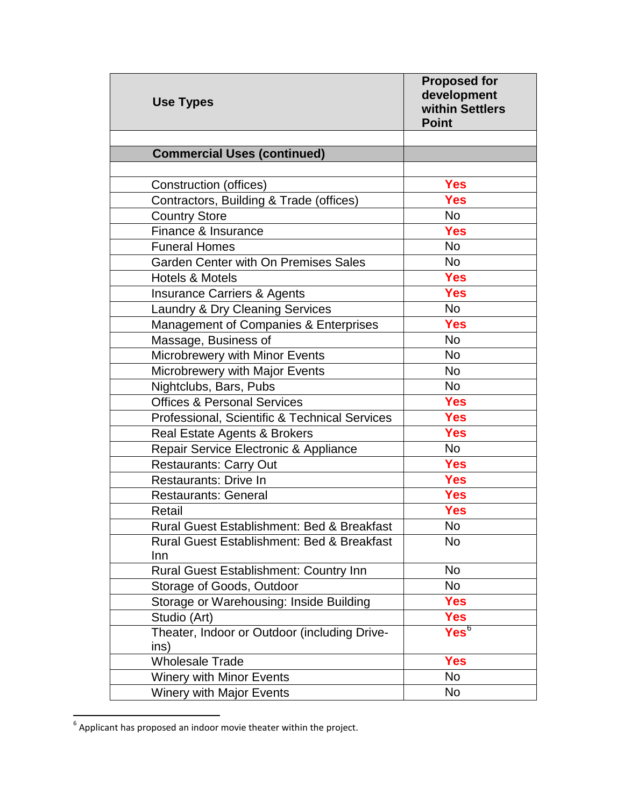| <b>Use Types</b>                                      | <b>Proposed for</b><br>development<br>within Settlers<br><b>Point</b> |
|-------------------------------------------------------|-----------------------------------------------------------------------|
|                                                       |                                                                       |
| <b>Commercial Uses (continued)</b>                    |                                                                       |
|                                                       |                                                                       |
| Construction (offices)                                | <b>Yes</b>                                                            |
| Contractors, Building & Trade (offices)               | <b>Yes</b>                                                            |
| <b>Country Store</b>                                  | <b>No</b>                                                             |
| Finance & Insurance                                   | <b>Yes</b>                                                            |
| <b>Funeral Homes</b>                                  | <b>No</b>                                                             |
| Garden Center with On Premises Sales                  | <b>No</b>                                                             |
| <b>Hotels &amp; Motels</b>                            | <b>Yes</b>                                                            |
| <b>Insurance Carriers &amp; Agents</b>                | <b>Yes</b>                                                            |
| Laundry & Dry Cleaning Services                       | <b>No</b>                                                             |
| Management of Companies & Enterprises                 | <b>Yes</b>                                                            |
| Massage, Business of                                  | <b>No</b>                                                             |
| Microbrewery with Minor Events                        | <b>No</b>                                                             |
| Microbrewery with Major Events                        | <b>No</b>                                                             |
| Nightclubs, Bars, Pubs                                | <b>No</b>                                                             |
| <b>Offices &amp; Personal Services</b>                | <b>Yes</b>                                                            |
| Professional, Scientific & Technical Services         | <b>Yes</b>                                                            |
| <b>Real Estate Agents &amp; Brokers</b>               | <b>Yes</b>                                                            |
| Repair Service Electronic & Appliance                 | No                                                                    |
| <b>Restaurants: Carry Out</b>                         | <b>Yes</b>                                                            |
| <b>Restaurants: Drive In</b>                          | <b>Yes</b>                                                            |
| <b>Restaurants: General</b>                           | <b>Yes</b>                                                            |
| Retail                                                | <b>Yes</b>                                                            |
| Rural Guest Establishment: Bed & Breakfast            | No                                                                    |
| <b>Rural Guest Establishment: Bed &amp; Breakfast</b> | <b>No</b>                                                             |
| Inn                                                   |                                                                       |
| <b>Rural Guest Establishment: Country Inn</b>         | <b>No</b>                                                             |
| Storage of Goods, Outdoor                             | No                                                                    |
| Storage or Warehousing: Inside Building               | <b>Yes</b>                                                            |
| Studio (Art)                                          | <b>Yes</b>                                                            |
| Theater, Indoor or Outdoor (including Drive-<br>ins)  | Yes <sup>6</sup>                                                      |
| <b>Wholesale Trade</b>                                | <b>Yes</b>                                                            |
| <b>Winery with Minor Events</b>                       | <b>No</b>                                                             |
| <b>Winery with Major Events</b>                       | No                                                                    |

<span id="page-8-0"></span><sup>6&</sup>lt;br>**6** Applicant has proposed an indoor movie theater within the project.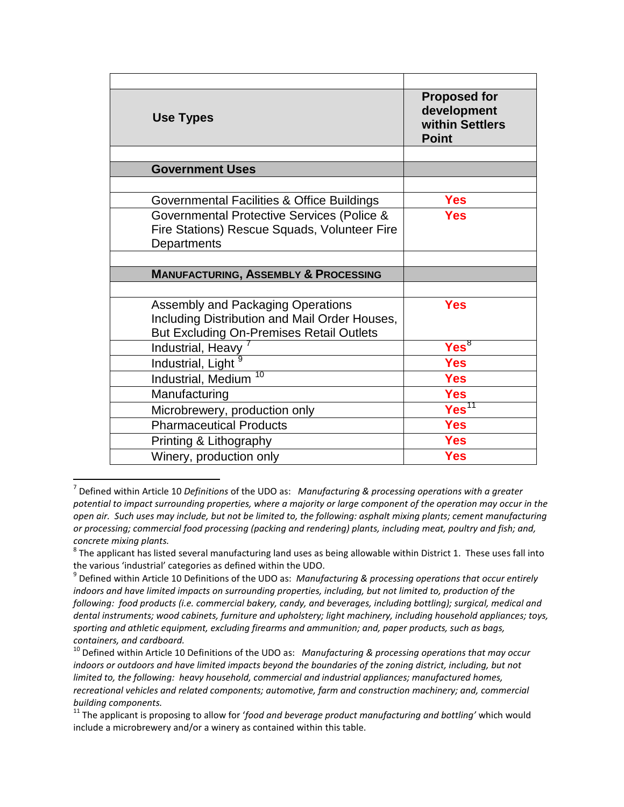| <b>Use Types</b>                                | <b>Proposed for</b><br>development<br>within Settlers<br><b>Point</b> |
|-------------------------------------------------|-----------------------------------------------------------------------|
|                                                 |                                                                       |
| <b>Government Uses</b>                          |                                                                       |
|                                                 |                                                                       |
| Governmental Facilities & Office Buildings      | <b>Yes</b>                                                            |
| Governmental Protective Services (Police &      | <b>Yes</b>                                                            |
| Fire Stations) Rescue Squads, Volunteer Fire    |                                                                       |
| Departments                                     |                                                                       |
|                                                 |                                                                       |
| <b>MANUFACTURING, ASSEMBLY &amp; PROCESSING</b> |                                                                       |
|                                                 |                                                                       |
| Assembly and Packaging Operations               | <b>Yes</b>                                                            |
| Including Distribution and Mail Order Houses,   |                                                                       |
| <b>But Excluding On-Premises Retail Outlets</b> |                                                                       |
| Industrial, Heavy                               | Yes <sup>8</sup>                                                      |
| Industrial, Light <sup>9</sup>                  | <b>Yes</b>                                                            |
| 10<br>Industrial, Medium                        | <b>Yes</b>                                                            |
| Manufacturing                                   | <b>Yes</b>                                                            |
| Microbrewery, production only                   | Yes <sup>11</sup>                                                     |
| <b>Pharmaceutical Products</b>                  | <b>Yes</b>                                                            |
|                                                 |                                                                       |
| Printing & Lithography                          | <b>Yes</b>                                                            |

<span id="page-9-0"></span> <sup>7</sup> Defined within Article 10 *Definitions* of the UDO as: *Manufacturing & processing operations with a greater potential to impact surrounding properties, where a majority or large component of the operation may occur in the open air. Such uses may include, but not be limited to, the following: asphalt mixing plants; cement manufacturing or processing; commercial food processing (packing and rendering) plants, including meat, poultry and fish; and, concrete mixing plants.*

<span id="page-9-1"></span> $8$  The applicant has listed several manufacturing land uses as being allowable within District 1. These uses fall into the various 'industrial' categories as defined within the UDO.

<span id="page-9-2"></span><sup>9</sup> Defined within Article 10 Definitions of the UDO as: *Manufacturing & processing operations that occur entirely indoors and have limited impacts on surrounding properties, including, but not limited to, production of the following: food products (i.e. commercial bakery, candy, and beverages, including bottling); surgical, medical and dental instruments; wood cabinets, furniture and upholstery; light machinery, including household appliances; toys, sporting and athletic equipment, excluding firearms and ammunition; and, paper products, such as bags, containers, and cardboard.*

<span id="page-9-3"></span><sup>10</sup> Defined within Article 10 Definitions of the UDO as: *Manufacturing & processing operations that may occur*  indoors or outdoors and have limited impacts beyond the boundaries of the zoning district, including, but not *limited to, the following: heavy household, commercial and industrial appliances; manufactured homes, recreational vehicles and related components; automotive, farm and construction machinery; and, commercial building components.*

<span id="page-9-4"></span><sup>&</sup>lt;sup>11</sup> The applicant is proposing to allow for 'food and beverage product manufacturing and bottling' which would include a microbrewery and/or a winery as contained within this table.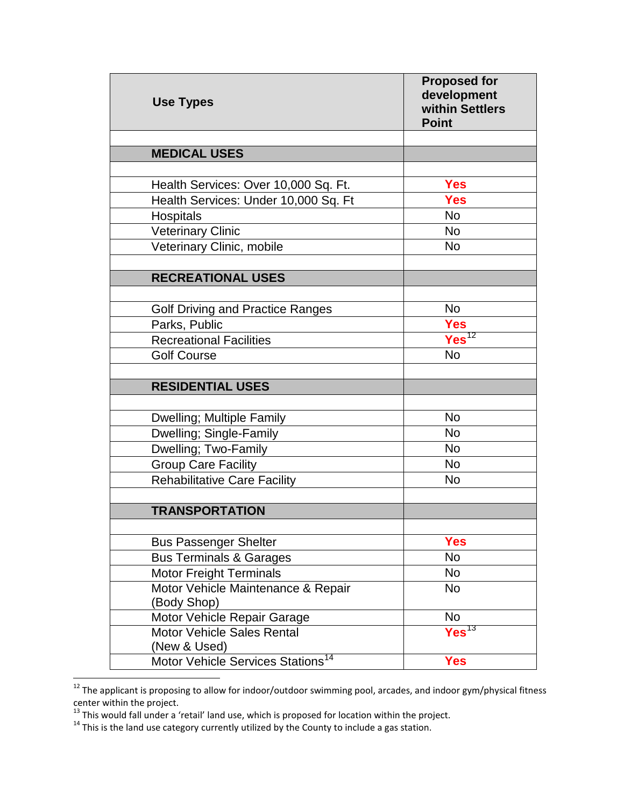| <b>Use Types</b>                              | <b>Proposed for</b><br>development<br>within Settlers<br><b>Point</b> |
|-----------------------------------------------|-----------------------------------------------------------------------|
|                                               |                                                                       |
| <b>MEDICAL USES</b>                           |                                                                       |
|                                               |                                                                       |
| Health Services: Over 10,000 Sq. Ft.          | Yes                                                                   |
| Health Services: Under 10,000 Sq. Ft          | <b>Yes</b>                                                            |
| Hospitals                                     | <b>No</b>                                                             |
| <b>Veterinary Clinic</b>                      | <b>No</b>                                                             |
| Veterinary Clinic, mobile                     | <b>No</b>                                                             |
| <b>RECREATIONAL USES</b>                      |                                                                       |
|                                               |                                                                       |
| <b>Golf Driving and Practice Ranges</b>       | <b>No</b>                                                             |
| Parks, Public                                 | <b>Yes</b>                                                            |
| <b>Recreational Facilities</b>                | Yes <sup>12</sup>                                                     |
| <b>Golf Course</b>                            | <b>No</b>                                                             |
|                                               |                                                                       |
| <b>RESIDENTIAL USES</b>                       |                                                                       |
|                                               |                                                                       |
| Dwelling; Multiple Family                     | <b>No</b>                                                             |
| Dwelling; Single-Family                       | <b>No</b>                                                             |
| Dwelling; Two-Family                          | <b>No</b>                                                             |
| <b>Group Care Facility</b>                    | <b>No</b>                                                             |
| <b>Rehabilitative Care Facility</b>           | <b>No</b>                                                             |
|                                               |                                                                       |
| <b>TRANSPORTATION</b>                         |                                                                       |
| <b>Bus Passenger Shelter</b>                  | <b>Yes</b>                                                            |
| <b>Bus Terminals &amp; Garages</b>            | No                                                                    |
| <b>Motor Freight Terminals</b>                | No                                                                    |
| Motor Vehicle Maintenance & Repair            | No                                                                    |
| (Body Shop)                                   |                                                                       |
| Motor Vehicle Repair Garage                   | No                                                                    |
| <b>Motor Vehicle Sales Rental</b>             | Yes <sup>13</sup>                                                     |
| (New & Used)                                  |                                                                       |
| Motor Vehicle Services Stations <sup>14</sup> | <b>Yes</b>                                                            |

<span id="page-10-0"></span><sup>12&</sup>lt;br>12 The applicant is proposing to allow for indoor/outdoor swimming pool, arcades, and indoor gym/physical fitness

<span id="page-10-2"></span><span id="page-10-1"></span>

center within the project.<br><sup>13</sup> This would fall under a 'retail' land use, which is proposed for location within the project.<br><sup>14</sup> This is the land use category currently utilized by the County to include a gas station.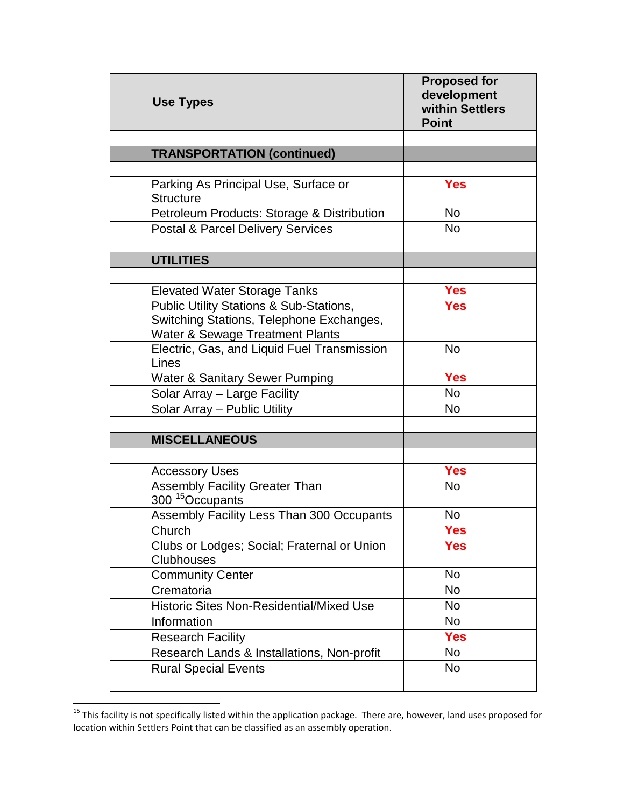| <b>Use Types</b>                                                                                                       | <b>Proposed for</b><br>development<br>within Settlers<br><b>Point</b> |
|------------------------------------------------------------------------------------------------------------------------|-----------------------------------------------------------------------|
|                                                                                                                        |                                                                       |
| <b>TRANSPORTATION (continued)</b>                                                                                      |                                                                       |
| Parking As Principal Use, Surface or<br><b>Structure</b>                                                               | <b>Yes</b>                                                            |
| Petroleum Products: Storage & Distribution                                                                             | <b>No</b>                                                             |
| <b>Postal &amp; Parcel Delivery Services</b>                                                                           | <b>No</b>                                                             |
|                                                                                                                        |                                                                       |
| <b>UTILITIES</b>                                                                                                       |                                                                       |
|                                                                                                                        |                                                                       |
| <b>Elevated Water Storage Tanks</b>                                                                                    | <b>Yes</b>                                                            |
| Public Utility Stations & Sub-Stations,<br>Switching Stations, Telephone Exchanges,<br>Water & Sewage Treatment Plants | <b>Yes</b>                                                            |
| Electric, Gas, and Liquid Fuel Transmission<br>Lines                                                                   | <b>No</b>                                                             |
| <b>Water &amp; Sanitary Sewer Pumping</b>                                                                              | <b>Yes</b>                                                            |
| Solar Array - Large Facility                                                                                           | <b>No</b>                                                             |
| Solar Array - Public Utility                                                                                           | No                                                                    |
| <b>MISCELLANEOUS</b>                                                                                                   |                                                                       |
|                                                                                                                        |                                                                       |
| <b>Accessory Uses</b>                                                                                                  | <b>Yes</b>                                                            |
| <b>Assembly Facility Greater Than</b><br>300 <sup>15</sup> Occupants                                                   | <b>No</b>                                                             |
| Assembly Facility Less Than 300 Occupants                                                                              | No                                                                    |
| Church                                                                                                                 | <b>Yes</b>                                                            |
| Clubs or Lodges; Social; Fraternal or Union<br>Clubhouses                                                              | <b>Yes</b>                                                            |
| <b>Community Center</b>                                                                                                | No                                                                    |
| Crematoria                                                                                                             | No                                                                    |
| <b>Historic Sites Non-Residential/Mixed Use</b>                                                                        | No                                                                    |
| Information                                                                                                            | <b>No</b>                                                             |
| <b>Research Facility</b>                                                                                               | <b>Yes</b>                                                            |
| Research Lands & Installations, Non-profit                                                                             | <b>No</b>                                                             |
| <b>Rural Special Events</b>                                                                                            | No                                                                    |
|                                                                                                                        |                                                                       |

<span id="page-11-0"></span><sup>15&</sup>lt;br><sup>15</sup> This facility is not specifically listed within the application package. There are, however, land uses proposed for location within Settlers Point that can be classified as an assembly operation.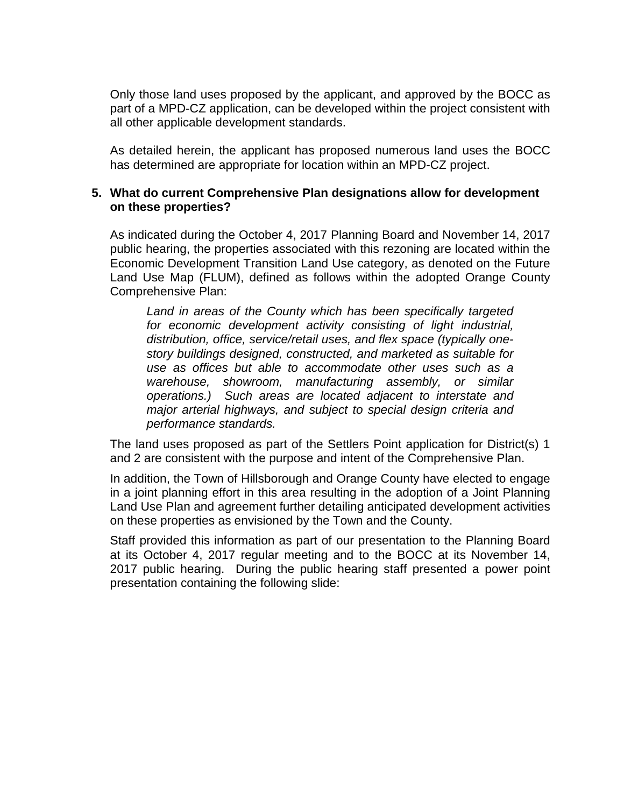Only those land uses proposed by the applicant, and approved by the BOCC as part of a MPD-CZ application, can be developed within the project consistent with all other applicable development standards.

As detailed herein, the applicant has proposed numerous land uses the BOCC has determined are appropriate for location within an MPD-CZ project.

#### **5. What do current Comprehensive Plan designations allow for development on these properties?**

As indicated during the October 4, 2017 Planning Board and November 14, 2017 public hearing, the properties associated with this rezoning are located within the Economic Development Transition Land Use category, as denoted on the Future Land Use Map (FLUM), defined as follows within the adopted Orange County Comprehensive Plan:

*Land in areas of the County which has been specifically targeted for economic development activity consisting of light industrial, distribution, office, service/retail uses, and flex space (typically onestory buildings designed, constructed, and marketed as suitable for use as offices but able to accommodate other uses such as a warehouse, showroom, manufacturing assembly, or similar operations.) Such areas are located adjacent to interstate and major arterial highways, and subject to special design criteria and performance standards.*

The land uses proposed as part of the Settlers Point application for District(s) 1 and 2 are consistent with the purpose and intent of the Comprehensive Plan.

In addition, the Town of Hillsborough and Orange County have elected to engage in a joint planning effort in this area resulting in the adoption of a Joint Planning Land Use Plan and agreement further detailing anticipated development activities on these properties as envisioned by the Town and the County.

Staff provided this information as part of our presentation to the Planning Board at its October 4, 2017 regular meeting and to the BOCC at its November 14, 2017 public hearing. During the public hearing staff presented a power point presentation containing the following slide: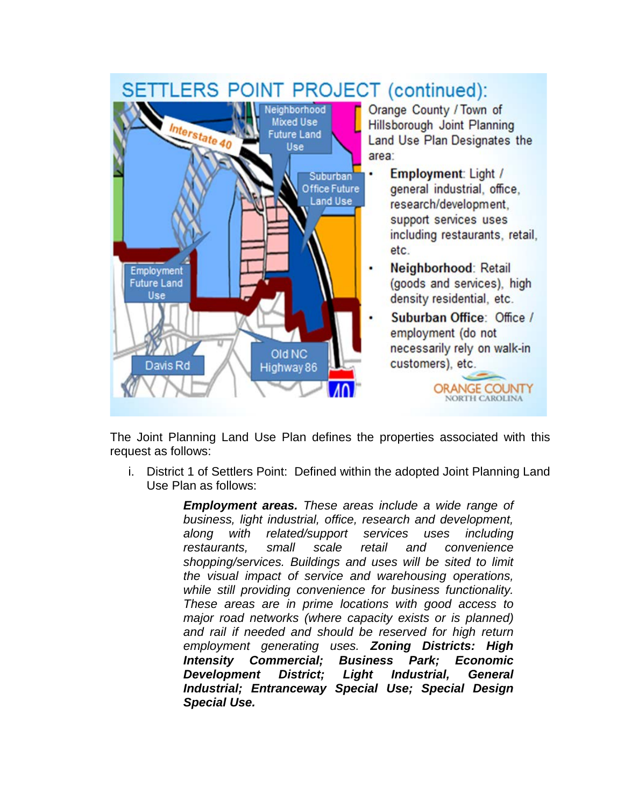# SETTLERS POINT PROJECT (continued):



The Joint Planning Land Use Plan defines the properties associated with this request as follows:

i. District 1 of Settlers Point: Defined within the adopted Joint Planning Land Use Plan as follows:

> *Employment areas. These areas include a wide range of business, light industrial, office, research and development, along with related/support services uses including restaurants, small scale retail and convenience shopping/services. Buildings and uses will be sited to limit the visual impact of service and warehousing operations, while still providing convenience for business functionality. These areas are in prime locations with good access to major road networks (where capacity exists or is planned) and rail if needed and should be reserved for high return employment generating uses. Zoning Districts: High Intensity Commercial; Business Park; Economic Development District; Light Industrial, General Industrial; Entranceway Special Use; Special Design Special Use.*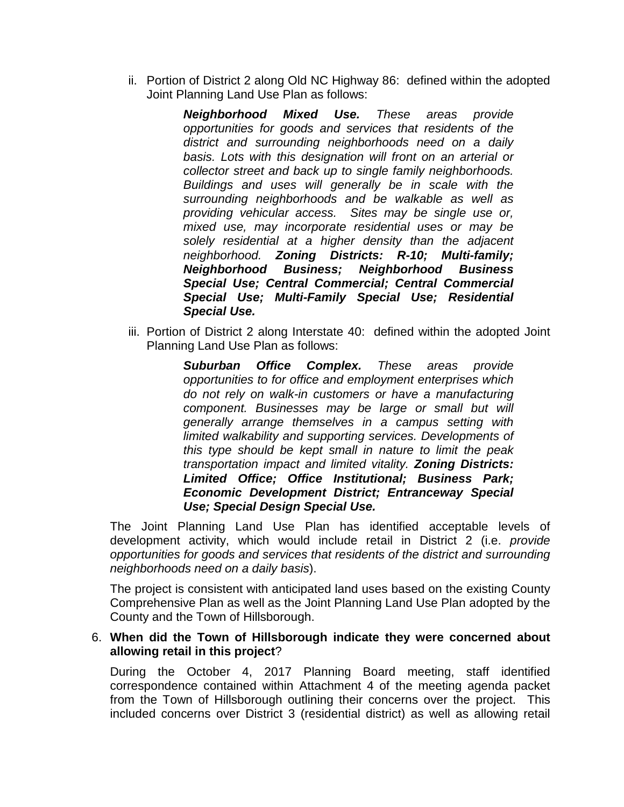ii. Portion of District 2 along Old NC Highway 86: defined within the adopted Joint Planning Land Use Plan as follows:

> *Neighborhood Mixed Use. These areas provide opportunities for goods and services that residents of the district and surrounding neighborhoods need on a daily basis. Lots with this designation will front on an arterial or collector street and back up to single family neighborhoods. Buildings and uses will generally be in scale with the surrounding neighborhoods and be walkable as well as providing vehicular access. Sites may be single use or, mixed use, may incorporate residential uses or may be solely residential at a higher density than the adjacent neighborhood. Zoning Districts: R-10; Multi-family; Neighborhood Business; Neighborhood Business Special Use; Central Commercial; Central Commercial Special Use; Multi-Family Special Use; Residential Special Use.*

iii. Portion of District 2 along Interstate 40: defined within the adopted Joint Planning Land Use Plan as follows:

> *Suburban Office Complex. These areas provide opportunities to for office and employment enterprises which do not rely on walk-in customers or have a manufacturing component. Businesses may be large or small but will generally arrange themselves in a campus setting with limited walkability and supporting services. Developments of this type should be kept small in nature to limit the peak transportation impact and limited vitality. Zoning Districts: Limited Office; Office Institutional; Business Park; Economic Development District; Entranceway Special Use; Special Design Special Use.*

The Joint Planning Land Use Plan has identified acceptable levels of development activity, which would include retail in District 2 (i.e. *provide opportunities for goods and services that residents of the district and surrounding neighborhoods need on a daily basis*).

The project is consistent with anticipated land uses based on the existing County Comprehensive Plan as well as the Joint Planning Land Use Plan adopted by the County and the Town of Hillsborough.

#### 6. **When did the Town of Hillsborough indicate they were concerned about allowing retail in this project**?

During the October 4, 2017 Planning Board meeting, staff identified correspondence contained within Attachment 4 of the meeting agenda packet from the Town of Hillsborough outlining their concerns over the project. This included concerns over District 3 (residential district) as well as allowing retail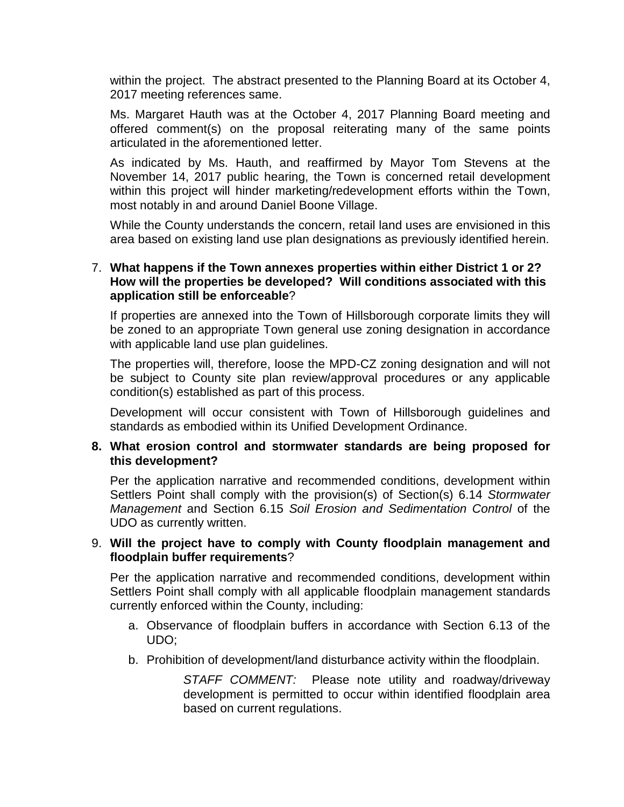within the project. The abstract presented to the Planning Board at its October 4, 2017 meeting references same.

Ms. Margaret Hauth was at the October 4, 2017 Planning Board meeting and offered comment(s) on the proposal reiterating many of the same points articulated in the aforementioned letter.

As indicated by Ms. Hauth, and reaffirmed by Mayor Tom Stevens at the November 14, 2017 public hearing, the Town is concerned retail development within this project will hinder marketing/redevelopment efforts within the Town, most notably in and around Daniel Boone Village.

While the County understands the concern, retail land uses are envisioned in this area based on existing land use plan designations as previously identified herein.

### 7. **What happens if the Town annexes properties within either District 1 or 2? How will the properties be developed? Will conditions associated with this application still be enforceable**?

If properties are annexed into the Town of Hillsborough corporate limits they will be zoned to an appropriate Town general use zoning designation in accordance with applicable land use plan guidelines.

The properties will, therefore, loose the MPD-CZ zoning designation and will not be subject to County site plan review/approval procedures or any applicable condition(s) established as part of this process.

Development will occur consistent with Town of Hillsborough guidelines and standards as embodied within its Unified Development Ordinance.

#### **8. What erosion control and stormwater standards are being proposed for this development?**

Per the application narrative and recommended conditions, development within Settlers Point shall comply with the provision(s) of Section(s) 6.14 *Stormwater Management* and Section 6.15 *Soil Erosion and Sedimentation Control* of the UDO as currently written.

#### 9. **Will the project have to comply with County floodplain management and floodplain buffer requirements**?

Per the application narrative and recommended conditions, development within Settlers Point shall comply with all applicable floodplain management standards currently enforced within the County, including:

- a. Observance of floodplain buffers in accordance with Section 6.13 of the UDO;
- b. Prohibition of development/land disturbance activity within the floodplain.

*STAFF COMMENT:* Please note utility and roadway/driveway development is permitted to occur within identified floodplain area based on current regulations.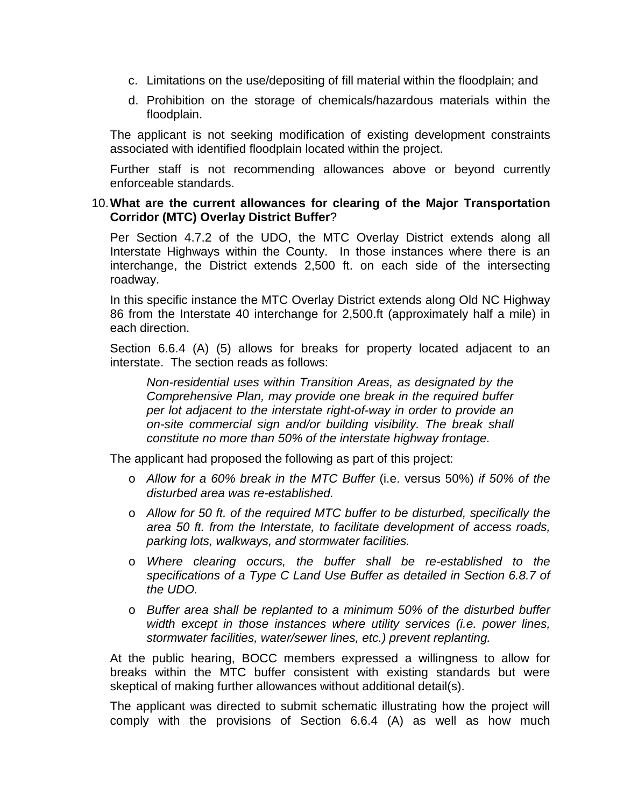- c. Limitations on the use/depositing of fill material within the floodplain; and
- d. Prohibition on the storage of chemicals/hazardous materials within the floodplain.

The applicant is not seeking modification of existing development constraints associated with identified floodplain located within the project.

Further staff is not recommending allowances above or beyond currently enforceable standards.

#### 10.**What are the current allowances for clearing of the Major Transportation Corridor (MTC) Overlay District Buffer**?

Per Section 4.7.2 of the UDO, the MTC Overlay District extends along all Interstate Highways within the County. In those instances where there is an interchange, the District extends 2,500 ft. on each side of the intersecting roadway.

In this specific instance the MTC Overlay District extends along Old NC Highway 86 from the Interstate 40 interchange for 2,500.ft (approximately half a mile) in each direction.

Section 6.6.4 (A) (5) allows for breaks for property located adjacent to an interstate. The section reads as follows:

*Non-residential uses within Transition Areas, as designated by the Comprehensive Plan, may provide one break in the required buffer per lot adjacent to the interstate right-of-way in order to provide an on-site commercial sign and/or building visibility. The break shall constitute no more than 50% of the interstate highway frontage.*

The applicant had proposed the following as part of this project:

- o *Allow for a 60% break in the MTC Buffer* (i.e. versus 50%) *if 50% of the disturbed area was re-established.*
- o *Allow for 50 ft. of the required MTC buffer to be disturbed, specifically the area 50 ft. from the Interstate, to facilitate development of access roads, parking lots, walkways, and stormwater facilities.*
- o *Where clearing occurs, the buffer shall be re-established to the specifications of a Type C Land Use Buffer as detailed in Section 6.8.7 of the UDO.*
- o *Buffer area shall be replanted to a minimum 50% of the disturbed buffer width except in those instances where utility services (i.e. power lines, stormwater facilities, water/sewer lines, etc.) prevent replanting.*

At the public hearing, BOCC members expressed a willingness to allow for breaks within the MTC buffer consistent with existing standards but were skeptical of making further allowances without additional detail(s).

The applicant was directed to submit schematic illustrating how the project will comply with the provisions of Section 6.6.4 (A) as well as how much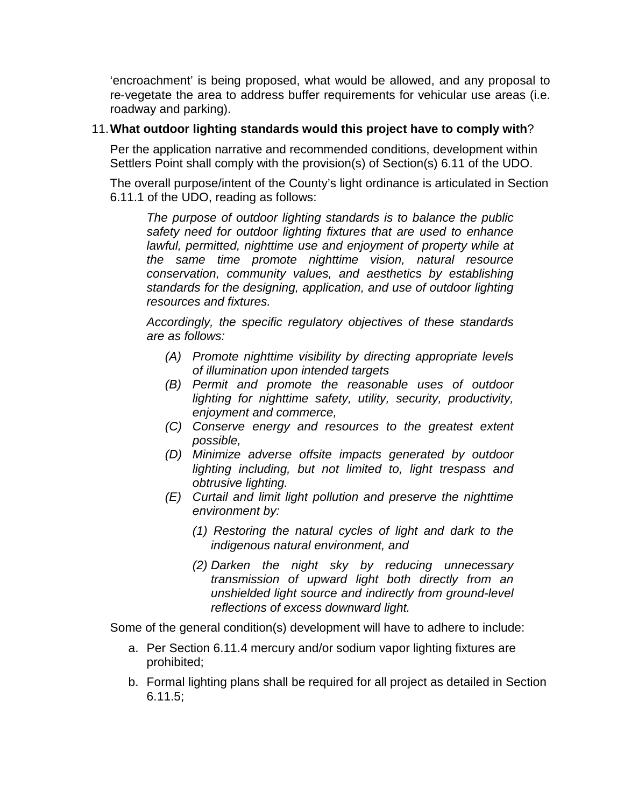'encroachment' is being proposed, what would be allowed, and any proposal to re-vegetate the area to address buffer requirements for vehicular use areas (i.e. roadway and parking).

# 11.**What outdoor lighting standards would this project have to comply with**?

Per the application narrative and recommended conditions, development within Settlers Point shall comply with the provision(s) of Section(s) 6.11 of the UDO.

The overall purpose/intent of the County's light ordinance is articulated in Section 6.11.1 of the UDO, reading as follows:

*The purpose of outdoor lighting standards is to balance the public safety need for outdoor lighting fixtures that are used to enhance lawful, permitted, nighttime use and enjoyment of property while at the same time promote nighttime vision, natural resource conservation, community values, and aesthetics by establishing standards for the designing, application, and use of outdoor lighting resources and fixtures.*

*Accordingly, the specific regulatory objectives of these standards are as follows:*

- *(A) Promote nighttime visibility by directing appropriate levels of illumination upon intended targets*
- *(B) Permit and promote the reasonable uses of outdoor lighting for nighttime safety, utility, security, productivity, enjoyment and commerce,*
- *(C) Conserve energy and resources to the greatest extent possible,*
- *(D) Minimize adverse offsite impacts generated by outdoor lighting including, but not limited to, light trespass and obtrusive lighting.*
- *(E) Curtail and limit light pollution and preserve the nighttime environment by:*
	- *(1) Restoring the natural cycles of light and dark to the indigenous natural environment, and*
	- *(2) Darken the night sky by reducing unnecessary transmission of upward light both directly from an unshielded light source and indirectly from ground-level reflections of excess downward light.*

Some of the general condition(s) development will have to adhere to include:

- a. Per Section 6.11.4 mercury and/or sodium vapor lighting fixtures are prohibited;
- b. Formal lighting plans shall be required for all project as detailed in Section 6.11.5;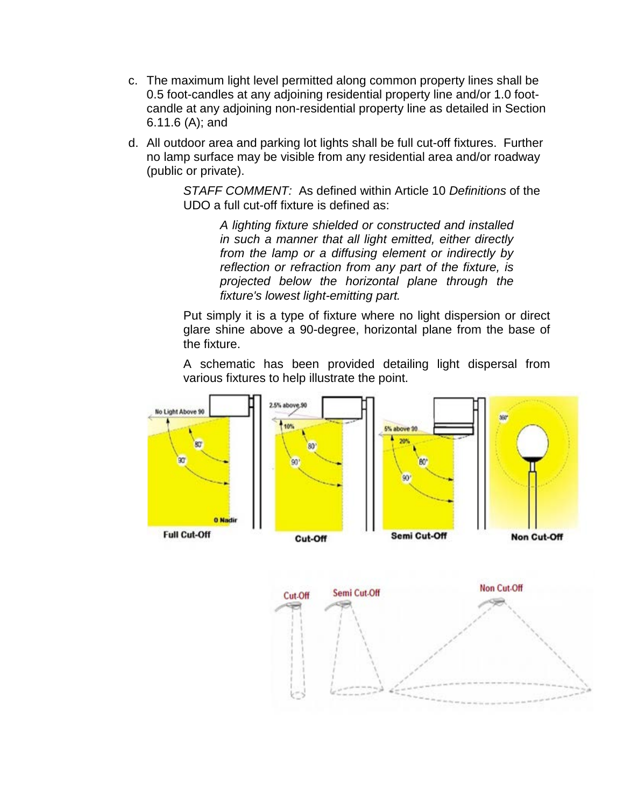- c. The maximum light level permitted along common property lines shall be 0.5 foot-candles at any adjoining residential property line and/or 1.0 footcandle at any adjoining non-residential property line as detailed in Section 6.11.6 (A); and
- d. All outdoor area and parking lot lights shall be full cut-off fixtures. Further no lamp surface may be visible from any residential area and/or roadway (public or private).

*STAFF COMMENT:* As defined within Article 10 *Definitions* of the UDO a full cut-off fixture is defined as:

> *A lighting fixture shielded or constructed and installed in such a manner that all light emitted, either directly from the lamp or a diffusing element or indirectly by reflection or refraction from any part of the fixture, is projected below the horizontal plane through the fixture's lowest light-emitting part.*

Put simply it is a type of fixture where no light dispersion or direct glare shine above a 90-degree, horizontal plane from the base of the fixture.

A schematic has been provided detailing light dispersal from various fixtures to help illustrate the point.